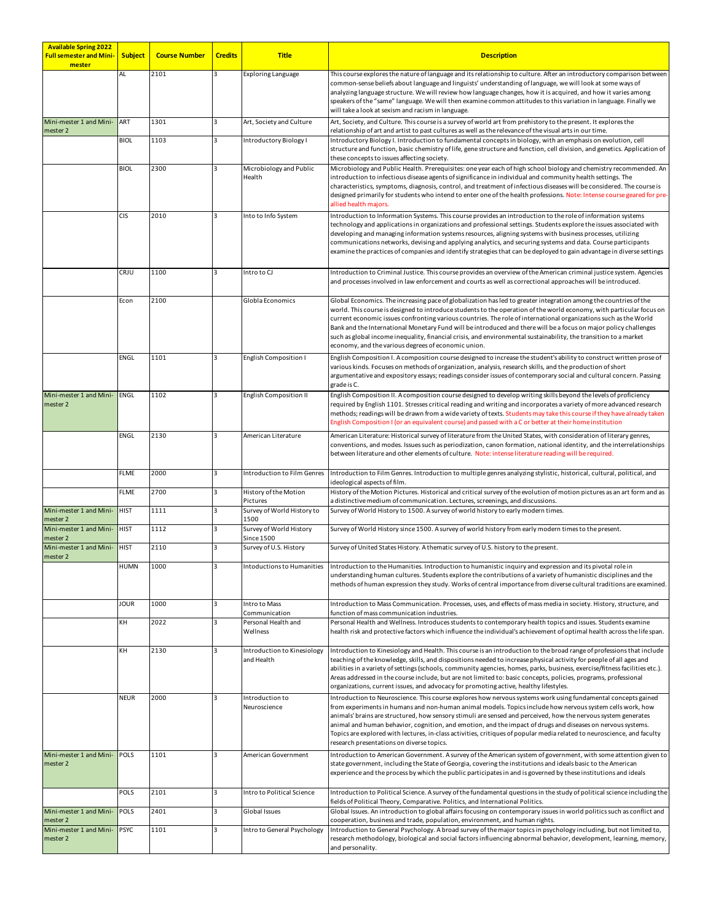| <b>Available Spring 2022</b><br><b>Full semester and Mini-</b><br>mester | <b>Subject</b> | <b>Course Number</b> | <b>Credits</b> | <b>Title</b>                                 | <b>Description</b>                                                                                                                                                                                                                                                                                                                                                                                                                                                                                                                                                                                                                                          |
|--------------------------------------------------------------------------|----------------|----------------------|----------------|----------------------------------------------|-------------------------------------------------------------------------------------------------------------------------------------------------------------------------------------------------------------------------------------------------------------------------------------------------------------------------------------------------------------------------------------------------------------------------------------------------------------------------------------------------------------------------------------------------------------------------------------------------------------------------------------------------------------|
|                                                                          | AL             | 2101                 |                | <b>Exploring Language</b>                    | This course explores the nature of language and its relationship to culture. After an introductory comparison between<br>common-sense beliefs about language and linguists' understanding of language, we will look at some ways of<br>analyzing language structure. We will review how language changes, how it is acquired, and how it varies among<br>speakers of the "same" language. We will then examine common attitudes to this variation in language. Finally we<br>will take a look at sexism and racism in language.                                                                                                                             |
| Mini-mester 1 and Mini-<br>mester 2                                      | ART            | 1301                 | 3              | Art, Society and Culture                     | Art, Society, and Culture. This course is a survey of world art from prehistory to the present. It explores the<br>relationship of art and artist to past cultures as well as the relevance of the visual arts in our time.                                                                                                                                                                                                                                                                                                                                                                                                                                 |
|                                                                          | <b>BIOL</b>    | 1103                 |                | Introductory Biology I                       | Introductory Biology I. Introduction to fundamental concepts in biology, with an emphasis on evolution, cell<br>structure and function, basic chemistry of life, gene structure and function, cell division, and genetics. Application of<br>these concepts to issues affecting society.                                                                                                                                                                                                                                                                                                                                                                    |
|                                                                          | <b>BIOL</b>    | 2300                 |                | Microbiology and Public<br>Health            | Microbiology and Public Health. Prerequisites: one year each of high school biology and chemistry recommended. An<br>introduction to infectious disease agents of significance in individual and community health settings. The<br>characteristics, symptoms, diagnosis, control, and treatment of infectious diseases will be considered. The course is<br>designed primarily for students who intend to enter one of the health professions. Note: Intense course geared for pre-<br>allied health majors.                                                                                                                                                |
|                                                                          | <b>CIS</b>     | 2010                 | 3              | Into to Info System                          | Introduction to Information Systems. This course provides an introduction to the role of information systems<br>technology and applications in organizations and professional settings. Students explore the issues associated with<br>developing and managing information systems resources, aligning systems with business processes, utilizing<br>communications networks, devising and applying analytics, and securing systems and data. Course participants<br>examine the practices of companies and identify strategies that can be deployed to gain advantage in diverse settings                                                                  |
|                                                                          | CRJU           | 1100                 |                | Intro to CJ                                  | Introduction to Criminal Justice. This course provides an overview of the American criminal justice system. Agencies<br>and processes involved in law enforcement and courts as well as correctional approaches will be introduced.                                                                                                                                                                                                                                                                                                                                                                                                                         |
|                                                                          | Econ           | 2100                 |                | Globla Economics                             | Global Economics. The increasing pace of globalization has led to greater integration among the countries of the<br>world. This course is designed to introduce students to the operation of the world economy, with particular focus on<br>current economic issues confronting various countries. The role of international organizations such as the World<br>Bank and the International Monetary Fund will be introduced and there will be a focus on major policy challenges<br>such as global income inequality, financial crisis, and environmental sustainability, the transition to a market<br>economy, and the various degrees of economic union. |
|                                                                          | ENGL           | 1101                 |                | English Composition I                        | English Composition I. A composition course designed to increase the student's ability to construct written prose of<br>various kinds. Focuses on methods of organization, analysis, research skills, and the production of short<br>argumentative and expository essays; readings consider issues of contemporary social and cultural concern. Passing<br>grade is C.                                                                                                                                                                                                                                                                                      |
| Mini-mester 1 and Mini- ENGL<br>mester 2                                 |                | 1102                 | 3              | <b>English Composition II</b>                | English Composition II. A composition course designed to develop writing skills beyond the levels of proficiency<br>required by English 1101. Stresses critical reading and writing and incorporates a variety of more advanced research<br>methods; readings will be drawn from a wide variety of texts. Students may take this course if they have already taken<br>English Composition I (or an equivalent course) and passed with a C or better at their home institution                                                                                                                                                                               |
|                                                                          | ENGL           | 2130                 | 3              | American Literature                          | American Literature: Historical survey of literature from the United States, with consideration of literary genres,<br>conventions, and modes. Issues such as periodization, canon formation, national identity, and the interrelationships<br>between literature and other elements of culture. Note: intense literature reading will be required.                                                                                                                                                                                                                                                                                                         |
|                                                                          | <b>FLME</b>    | 2000                 |                | Introduction to Film Genres                  | Introduction to Film Genres. Introduction to multiple genres analyzing stylistic, historical, cultural, political, and<br>ideological aspects of film.                                                                                                                                                                                                                                                                                                                                                                                                                                                                                                      |
|                                                                          | <b>FLME</b>    | 2700                 |                | History of the Motion<br>Pictures            | History of the Motion Pictures. Historical and critical survey of the evolution of motion pictures as an art form and as<br>a distinctive medium of communication. Lectures, screenings, and discussions.                                                                                                                                                                                                                                                                                                                                                                                                                                                   |
| Mini-mester 1 and Mini-<br>mester 2                                      | <b>HIST</b>    | 1111                 |                | Survey of World History to<br>1500           | Survey of World History to 1500. A survey of world history to early modern times.                                                                                                                                                                                                                                                                                                                                                                                                                                                                                                                                                                           |
| Mini-mester 1 and Mini-<br>mester 2                                      | <b>HIST</b>    | 1112                 |                | Survey of World History<br><b>Since 1500</b> | Survey of World History since 1500. A survey of world history from early modern times to the present.                                                                                                                                                                                                                                                                                                                                                                                                                                                                                                                                                       |
| Mini-mester 1 and Mini-<br>mester 2                                      | <b>HIST</b>    | 2110                 |                | Survey of U.S. History                       | Survey of United States History. A thematic survey of U.S. history to the present.                                                                                                                                                                                                                                                                                                                                                                                                                                                                                                                                                                          |
|                                                                          | <b>HUMN</b>    | 1000                 |                | Intoductions to Humanities                   | Introduction to the Humanities. Introduction to humanistic inquiry and expression and its pivotal role in<br>understanding human cultures. Students explore the contributions of a variety of humanistic disciplines and the<br>methods of human expression they study. Works of central importance from diverse cultural traditions are examined.                                                                                                                                                                                                                                                                                                          |
|                                                                          | <b>JOUR</b>    | 1000                 | 3              | Intro to Mass<br>Communication               | Introduction to Mass Communication. Processes, uses, and effects of mass media in society. History, structure, and<br>function of mass communication industries.                                                                                                                                                                                                                                                                                                                                                                                                                                                                                            |
|                                                                          | KΗ             | 2022                 |                | Personal Health and<br>Wellness              | Personal Health and Wellness. Introduces students to contemporary health topics and issues. Students examine<br>health risk and protective factors which influence the individual's achievement of optimal health across the life span.                                                                                                                                                                                                                                                                                                                                                                                                                     |
|                                                                          | KΗ             | 2130                 |                | Introduction to Kinesiology<br>and Health    | Introduction to Kinesiology and Health. This course is an introduction to the broad range of professions that include<br>teaching of the knowledge, skills, and dispositions needed to increase physical activity for people of all ages and<br>abilities in a variety of settings (schools, community agencies, homes, parks, business, exercise/fitness facilities etc.).<br>Areas addressed in the course include, but are not limited to: basic concepts, policies, programs, professional<br>organizations, current issues, and advocacy for promoting active, healthy lifestyles.                                                                     |
|                                                                          | <b>NEUR</b>    | 2000                 |                | Introduction to<br>Neuroscience              | Introduction to Neuroscience. This course explores how nervous systems work using fundamental concepts gained<br>from experiments in humans and non-human animal models. Topics include how nervous system cells work, how<br>animals' brains are structured, how sensory stimuli are sensed and perceived, how the nervous system generates<br>animal and human behavior, cognition, and emotion, and the impact of drugs and diseases on nervous systems.<br>Topics are explored with lectures, in-class activities, critiques of popular media related to neuroscience, and faculty<br>research presentations on diverse topics.                         |
| Mini-mester 1 and Mini-<br>mester 2                                      | POLS           | 1101                 | 3              | American Government                          | Introduction to American Government. A survey of the American system of government, with some attention given to<br>state government, including the State of Georgia, covering the institutions and ideals basic to the American<br>experience and the process by which the public participates in and is governed by these institutions and ideals                                                                                                                                                                                                                                                                                                         |
|                                                                          | POLS           | 2101                 | 3              | Intro to Political Science                   | Introduction to Political Science. A survey of the fundamental questions in the study of political science including the<br>fields of Political Theory, Comparative. Politics, and International Politics.                                                                                                                                                                                                                                                                                                                                                                                                                                                  |
| Mini-mester 1 and Mini-<br>mester 2                                      | POLS           | 2401                 |                | Global Issues                                | Global Issues. An introduction to global affairs focusing on contemporary issues in world politics such as conflict and<br>cooperation, business and trade, population, environment, and human rights.                                                                                                                                                                                                                                                                                                                                                                                                                                                      |
| Mini-mester 1 and Mini-PSYC<br>mester 2                                  |                | 1101                 | 3              | Intro to General Psychology                  | Introduction to General Psychology. A broad survey of the major topics in psychology including, but not limited to,<br>research methodology, biological and social factors influencing abnormal behavior, development, learning, memory,<br>and personality.                                                                                                                                                                                                                                                                                                                                                                                                |